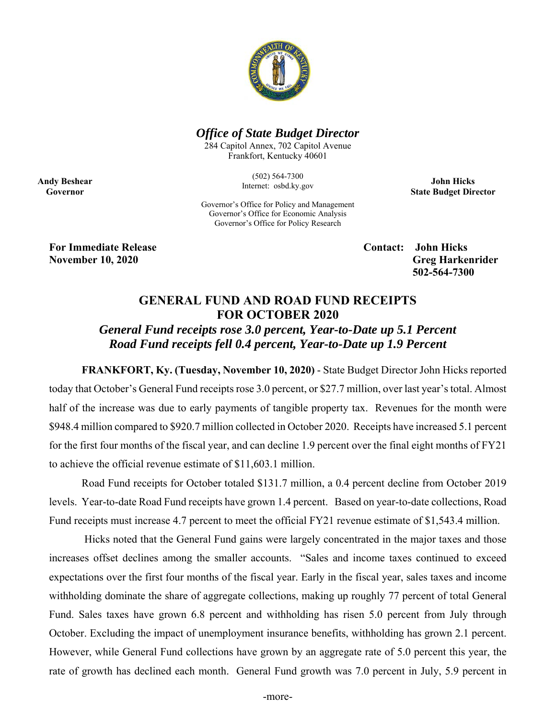

## *Office of State Budget Director*

284 Capitol Annex, 702 Capitol Avenue Frankfort, Kentucky 40601

> (502) 564-7300 Internet: osbd.ky.gov

**John Hicks State Budget Director** 

Governor's Office for Policy and Management Governor's Office for Economic Analysis Governor's Office for Policy Research

**For Immediate Release Contact: John Hicks** 

**Andy Beshear Governor** 

> **November 10, 2020** Greg Harkenrider  **502-564-7300**

## **GENERAL FUND AND ROAD FUND RECEIPTS FOR OCTOBER 2020**

*General Fund receipts rose 3.0 percent, Year-to-Date up 5.1 Percent Road Fund receipts fell 0.4 percent, Year-to-Date up 1.9 Percent* 

**FRANKFORT, Ky. (Tuesday, November 10, 2020)** - State Budget Director John Hicks reported today that October's General Fund receipts rose 3.0 percent, or \$27.7 million, over last year's total. Almost half of the increase was due to early payments of tangible property tax. Revenues for the month were \$948.4 million compared to \$920.7 million collected in October 2020. Receipts have increased 5.1 percent for the first four months of the fiscal year, and can decline 1.9 percent over the final eight months of FY21 to achieve the official revenue estimate of \$11,603.1 million.

Road Fund receipts for October totaled \$131.7 million, a 0.4 percent decline from October 2019 levels. Year-to-date Road Fund receipts have grown 1.4 percent. Based on year-to-date collections, Road Fund receipts must increase 4.7 percent to meet the official FY21 revenue estimate of \$1,543.4 million.

 Hicks noted that the General Fund gains were largely concentrated in the major taxes and those increases offset declines among the smaller accounts. "Sales and income taxes continued to exceed expectations over the first four months of the fiscal year. Early in the fiscal year, sales taxes and income withholding dominate the share of aggregate collections, making up roughly 77 percent of total General Fund. Sales taxes have grown 6.8 percent and withholding has risen 5.0 percent from July through October. Excluding the impact of unemployment insurance benefits, withholding has grown 2.1 percent. However, while General Fund collections have grown by an aggregate rate of 5.0 percent this year, the rate of growth has declined each month. General Fund growth was 7.0 percent in July, 5.9 percent in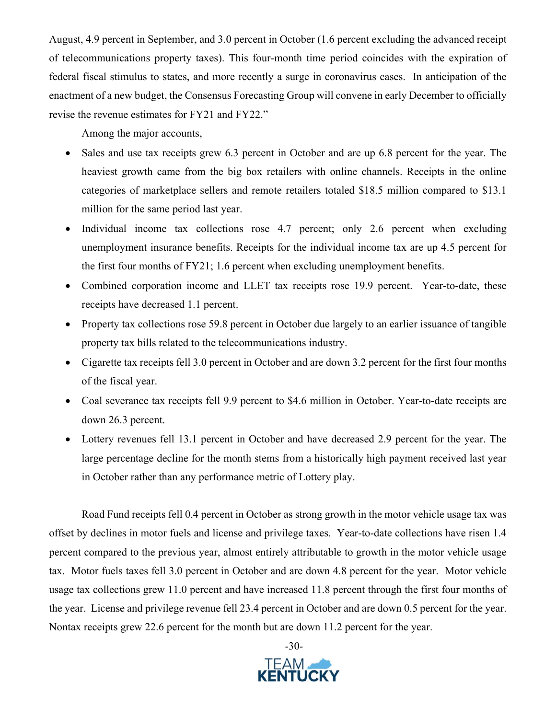August, 4.9 percent in September, and 3.0 percent in October (1.6 percent excluding the advanced receipt of telecommunications property taxes). This four-month time period coincides with the expiration of federal fiscal stimulus to states, and more recently a surge in coronavirus cases. In anticipation of the enactment of a new budget, the Consensus Forecasting Group will convene in early December to officially revise the revenue estimates for FY21 and FY22."

Among the major accounts,

- Sales and use tax receipts grew 6.3 percent in October and are up 6.8 percent for the year. The heaviest growth came from the big box retailers with online channels. Receipts in the online categories of marketplace sellers and remote retailers totaled \$18.5 million compared to \$13.1 million for the same period last year.
- Individual income tax collections rose 4.7 percent; only 2.6 percent when excluding unemployment insurance benefits. Receipts for the individual income tax are up 4.5 percent for the first four months of FY21; 1.6 percent when excluding unemployment benefits.
- Combined corporation income and LLET tax receipts rose 19.9 percent. Year-to-date, these receipts have decreased 1.1 percent.
- Property tax collections rose 59.8 percent in October due largely to an earlier issuance of tangible property tax bills related to the telecommunications industry.
- Cigarette tax receipts fell 3.0 percent in October and are down 3.2 percent for the first four months of the fiscal year.
- Coal severance tax receipts fell 9.9 percent to \$4.6 million in October. Year-to-date receipts are down 26.3 percent.
- Lottery revenues fell 13.1 percent in October and have decreased 2.9 percent for the year. The large percentage decline for the month stems from a historically high payment received last year in October rather than any performance metric of Lottery play.

Road Fund receipts fell 0.4 percent in October as strong growth in the motor vehicle usage tax was offset by declines in motor fuels and license and privilege taxes. Year-to-date collections have risen 1.4 percent compared to the previous year, almost entirely attributable to growth in the motor vehicle usage tax. Motor fuels taxes fell 3.0 percent in October and are down 4.8 percent for the year. Motor vehicle usage tax collections grew 11.0 percent and have increased 11.8 percent through the first four months of the year. License and privilege revenue fell 23.4 percent in October and are down 0.5 percent for the year. Nontax receipts grew 22.6 percent for the month but are down 11.2 percent for the year.

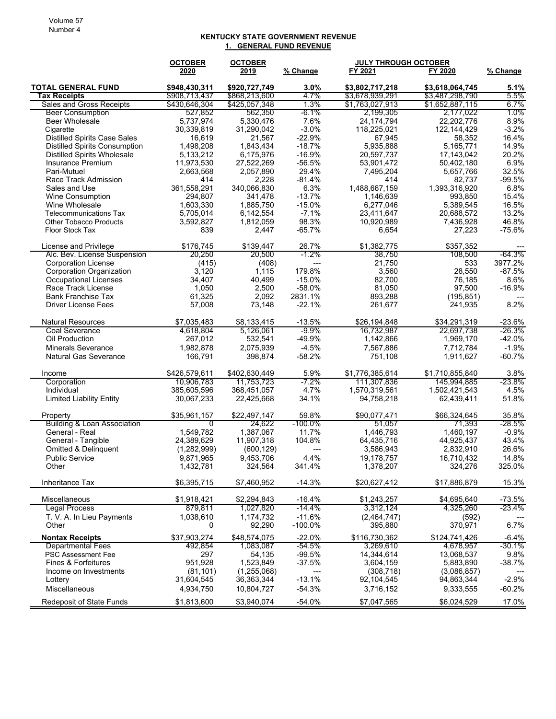## **KENTUCKY STATE GOVERNMENT REVENUE 1. GENERAL FUND REVENUE**

|                                                                | <b>OCTOBER</b>          | <b>OCTOBER</b>          |                      | <b>JULY THROUGH OCTOBER</b> |                         |               |
|----------------------------------------------------------------|-------------------------|-------------------------|----------------------|-----------------------------|-------------------------|---------------|
|                                                                | 2020                    | 2019                    | % Change             | FY 2021                     | FY 2020                 | % Change      |
| <b>TOTAL GENERAL FUND</b>                                      | \$948,430,311           | \$920,727,749           | $3.0\%$              | \$3,802,717,218             | \$3,618,064,745         | 5.1%          |
| <b>Tax Receipts</b>                                            | \$908,713,437           | \$868,213,600           | 4.7%                 | \$3,678,939,291             | \$3,487,298,790         | 5.5%          |
| Sales and Gross Receipts                                       | \$430,646,304           | \$425,057,348           | 1.3%                 | \$1,763,027,913             | \$1,652,887,115         | 6.7%          |
| <b>Beer Consumption</b>                                        | 527,852                 | 562,350                 | $-6.1%$              | 2,199,305                   | 2,177,022               | 1.0%          |
| <b>Beer Wholesale</b>                                          | 5,737,974               | 5,330,476               | 7.6%                 | 24, 174, 794                | 22,202,776              | 8.9%          |
| Cigarette                                                      | 30,339,819              | 31,290,042              | $-3.0%$              | 118,225,021                 | 122, 144, 429           | $-3.2%$       |
| <b>Distilled Spirits Case Sales</b>                            | 16,619                  | 21,567                  | $-22.9%$             | 67,945                      | 58,352                  | 16.4%         |
| <b>Distilled Spirits Consumption</b>                           | 1,498,208               | 1,843,434               | $-18.7%$             | 5,935,888                   | 5,165,771               | 14.9%         |
| <b>Distilled Spirits Wholesale</b><br><b>Insurance Premium</b> | 5,133,212               | 6,175,976               | $-16.9%$<br>$-56.5%$ | 20,597,737                  | 17,143,042              | 20.2%<br>6.9% |
| Pari-Mutuel                                                    | 11,973,530<br>2,663,568 | 27,522,269<br>2,057,890 | 29.4%                | 53,901,472<br>7,495,204     | 50,402,180<br>5,657,766 | 32.5%         |
| Race Track Admission                                           | 414                     | 2,228                   | $-81.4%$             | 414                         | 82,737                  | $-99.5%$      |
| Sales and Use                                                  | 361,558,291             | 340,066,830             | 6.3%                 | 1,488,667,159               | 1,393,316,920           | 6.8%          |
| <b>Wine Consumption</b>                                        | 294,807                 | 341,478                 | $-13.7%$             | 1,146,639                   | 993,850                 | 15.4%         |
| Wine Wholesale                                                 | 1,603,330               | 1,885,750               | $-15.0%$             | 6,277,046                   | 5,389,545               | 16.5%         |
| <b>Telecommunications Tax</b>                                  | 5,705,014               | 6,142,554               | $-7.1%$              | 23,411,647                  | 20,688,572              | 13.2%         |
| Other Tobacco Products                                         | 3,592,827               | 1,812,059               | 98.3%                | 10,920,989                  | 7,436,928               | 46.8%         |
| Floor Stock Tax                                                | 839                     | 2,447                   | $-65.7%$             | 6,654                       | 27,223                  | $-75.6%$      |
|                                                                |                         |                         |                      |                             |                         |               |
| License and Privilege                                          | \$176,745               | \$139,447               | 26.7%                | \$1,382,775                 | \$357,352               |               |
| Alc. Bev. License Suspension                                   | 20,250                  | 20,500                  | $-1.2%$              | 38,750                      | 108,500                 | $-64.3%$      |
| <b>Corporation License</b>                                     | (415)                   | (408)                   | $---$                | 21,750                      | 533                     | 3977.2%       |
| Corporation Organization                                       | 3.120                   | 1,115                   | 179.8%               | 3,560                       | 28,550                  | $-87.5%$      |
| Occupational Licenses                                          | 34,407                  | 40,499                  | $-15.0%$             | 82,700                      | 76,185                  | 8.6%          |
| Race Track License                                             | 1,050                   | 2,500                   | $-58.0%$             | 81,050                      | 97,500                  | $-16.9%$      |
| <b>Bank Franchise Tax</b>                                      | 61,325                  | 2.092                   | 2831.1%              | 893,288                     | (195, 851)              |               |
| <b>Driver License Fees</b>                                     | 57,008                  | 73,148                  | $-22.1%$             | 261,677                     | 241,935                 | 8.2%          |
| <b>Natural Resources</b>                                       | \$7,035,483             | \$8,133,415             | $-13.5%$             | \$26,194,848                | \$34,291,319            | $-23.6%$      |
| <b>Coal Severance</b>                                          | 4,618,804               | 5,126,061               | -9.9%                | 16,732,987                  | 22,697,738              | $-26.3%$      |
| Oil Production                                                 | 267,012                 | 532,541                 | $-49.9%$             | 1,142,866                   | 1,969,170               | $-42.0%$      |
| <b>Minerals Severance</b>                                      | 1,982,878               | 2,075,939               | $-4.5%$              | 7,567,886                   | 7,712,784               | $-1.9%$       |
| <b>Natural Gas Severance</b>                                   | 166,791                 | 398,874                 | $-58.2%$             | 751,108                     | 1,911,627               | $-60.7%$      |
| Income                                                         | \$426,579,611           | \$402,630,449           | 5.9%                 | \$1,776,385,614             | \$1,710,855,840         | 3.8%          |
| Corporation                                                    | 10,906,783              | 11,753,723              | -7.2%                | 111,307,836                 | 145,994,885             | -23.8%        |
| Individual                                                     | 385,605,596             | 368,451,057             | 4.7%                 | 1,570,319,561               | 1,502,421,543           | 4.5%          |
| <b>Limited Liability Entity</b>                                | 30,067,233              | 22,425,668              | 34.1%                | 94,758,218                  | 62,439,411              | 51.8%         |
| Property                                                       | \$35,961,157            | \$22,497,147            | 59.8%                | \$90,077,471                | \$66,324,645            | 35.8%         |
| <b>Building &amp; Loan Association</b>                         | 0                       | 24,622                  | $-100.0\%$           | 51,057                      | 71,393                  | -28.5%        |
| General - Real                                                 | 1,549,782               | 1,387,067               | 11.7%                | 1,446,793                   | 1,460,197               | $-0.9%$       |
| General - Tangible                                             | 24,389,629              | 11,907,318              | 104.8%               | 64,435,716                  | 44,925,437              | 43.4%         |
| Omitted & Delinquent                                           | (1,282,999)             | (600, 129)              | ---                  | 3,586,943                   | 2,832,910               | 26.6%         |
| <b>Public Service</b>                                          | 9,871,965               | 9,453,706               | 4.4%                 | 19,178,757                  | 16,710,432              | 14.8%         |
| Other                                                          | 1,432,781               | 324,564                 | 341.4%               | 1,378,207                   | 324,276                 | 325.0%        |
| Inheritance Tax                                                | \$6,395,715             | \$7,460,952             | $-14.3%$             | \$20,627,412                | \$17,886,879            | 15.3%         |
| Miscellaneous                                                  | \$1,918,421             | \$2,294,843             | $-16.4%$             | \$1,243,257                 | \$4,695,640             | $-73.5%$      |
| <b>Legal Process</b>                                           | 879,811                 | 1,027,820               | $-14.4%$             | 3,312,124                   | 4,325,260               | $-23.4%$      |
| T. V. A. In Lieu Payments                                      | 1,038,610               | 1,174,732               | $-11.6%$             | (2,464,747)                 |                         |               |
| Other                                                          | 0                       | 92,290                  | $-100.0\%$           | 395,880                     | (592)<br>370,971        | 6.7%          |
| <b>Nontax Receipts</b>                                         | \$37,903,274            | \$48,574,075            | $-22.0%$             | \$116,730,362               | \$124,741,426           | $-6.4%$       |
| <b>Departmental Fees</b>                                       | 492,854                 | 1.083.087               | $-54.5%$             | 3,269,610                   | 4,678,957               | $-30.1%$      |
| <b>PSC Assessment Fee</b>                                      | 297                     | 54,135                  | -99.5%               | 14,344,614                  | 13,068,537              | 9.8%          |
| Fines & Forfeitures                                            | 951,928                 | 1,523,849               | $-37.5%$             | 3,604,159                   | 5,883,890               | -38.7%        |
| Income on Investments                                          | (81, 101)               | (1,255,068)             |                      | (308, 718)                  | (3,086,857)             |               |
| Lottery                                                        | 31,604,545              | 36,363,344              | $-13.1%$             | 92,104,545                  | 94,863,344              | $-2.9%$       |
| Miscellaneous                                                  | 4,934,750               | 10,804,727              | $-54.3%$             | 3,716,152                   | 9,333,555               | $-60.2%$      |
| <b>Redeposit of State Funds</b>                                | \$1,813,600             | \$3,940,074             | $-54.0%$             | \$7,047,565                 | \$6,024,529             | 17.0%         |